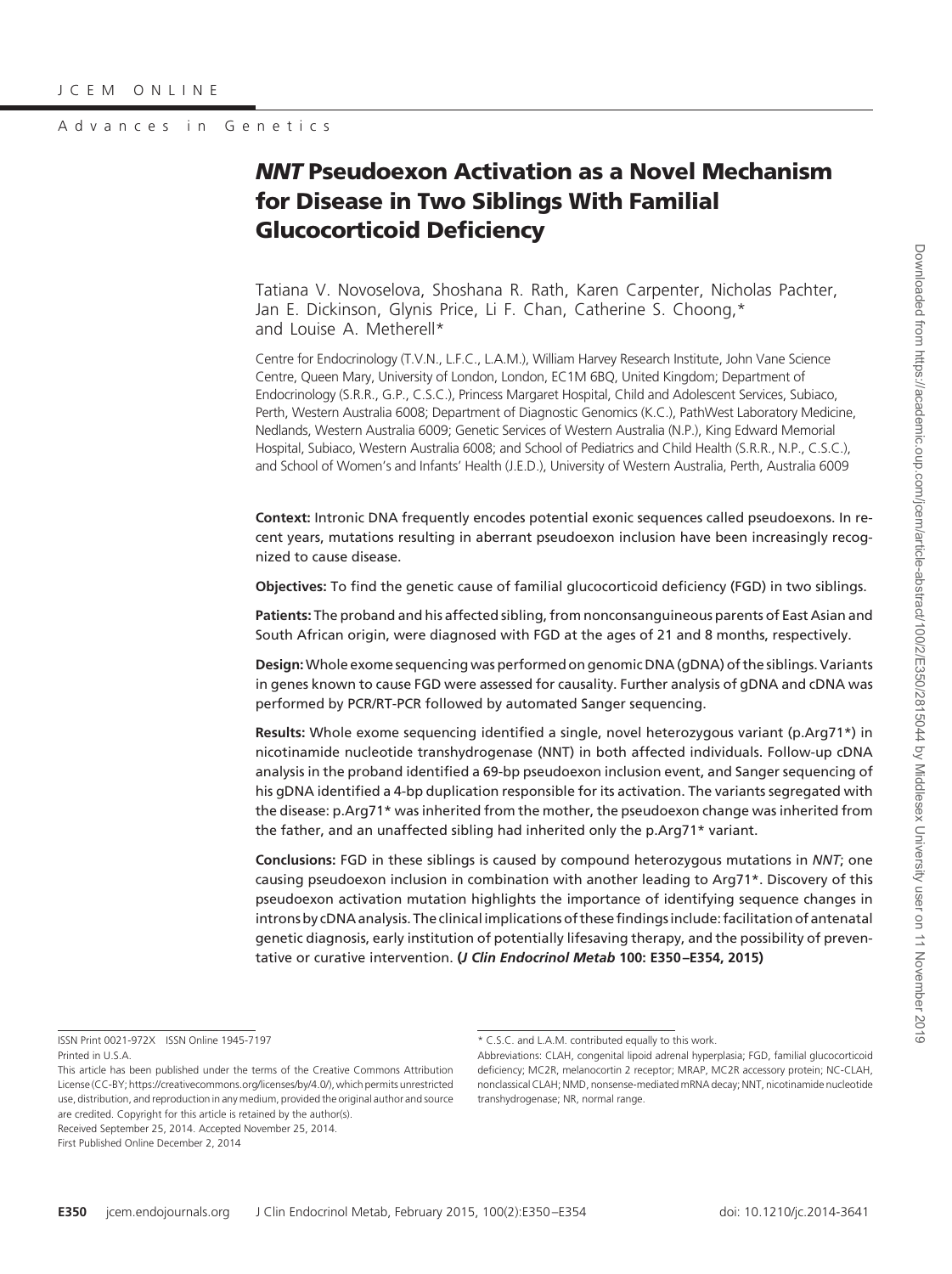# *NNT* **Pseudoexon Activation as a Novel Mechanism for Disease in Two Siblings With Familial Glucocorticoid Deficiency**

Tatiana V. Novoselova, Shoshana R. Rath, Karen Carpenter, Nicholas Pachter, Jan E. Dickinson, Glynis Price, Li F. Chan, Catherine S. Choong,\* and Louise A. Metherell\*

Centre for Endocrinology (T.V.N., L.F.C., L.A.M.), William Harvey Research Institute, John Vane Science Centre, Queen Mary, University of London, London, EC1M 6BQ, United Kingdom; Department of Endocrinology (S.R.R., G.P., C.S.C.), Princess Margaret Hospital, Child and Adolescent Services, Subiaco, Perth, Western Australia 6008; Department of Diagnostic Genomics (K.C.), PathWest Laboratory Medicine, Nedlands, Western Australia 6009; Genetic Services of Western Australia (N.P.), King Edward Memorial Hospital, Subiaco, Western Australia 6008; and School of Pediatrics and Child Health (S.R.R., N.P., C.S.C.), and School of Women's and Infants' Health (J.E.D.), University of Western Australia, Perth, Australia 6009

**Context:** Intronic DNA frequently encodes potential exonic sequences called pseudoexons. In recent years, mutations resulting in aberrant pseudoexon inclusion have been increasingly recognized to cause disease.

**Objectives:** To find the genetic cause of familial glucocorticoid deficiency (FGD) in two siblings.

**Patients:** The proband and his affected sibling, from nonconsanguineous parents of East Asian and South African origin, were diagnosed with FGD at the ages of 21 and 8 months, respectively.

**Design:**Whole exome sequencing was performed on genomic DNA (gDNA) of the siblings. Variants in genes known to cause FGD were assessed for causality. Further analysis of gDNA and cDNA was performed by PCR/RT-PCR followed by automated Sanger sequencing.

**Results:** Whole exome sequencing identified a single, novel heterozygous variant (p.Arg71\*) in nicotinamide nucleotide transhydrogenase (NNT) in both affected individuals. Follow-up cDNA analysis in the proband identified a 69-bp pseudoexon inclusion event, and Sanger sequencing of his gDNA identified a 4-bp duplication responsible for its activation. The variants segregated with the disease: p.Arg71\* was inherited from the mother, the pseudoexon change was inherited from the father, and an unaffected sibling had inherited only the p.Arg71\* variant.

**Conclusions:** FGD in these siblings is caused by compound heterozygous mutations in *NNT*; one causing pseudoexon inclusion in combination with another leading to Arg71\*. Discovery of this pseudoexon activation mutation highlights the importance of identifying sequence changes in introns by cDNA analysis. The clinical implications of these findings include: facilitation of antenatal genetic diagnosis, early institution of potentially lifesaving therapy, and the possibility of preventative or curative intervention. **(***J Clin Endocrinol Metab* **100: E350 –E354, 2015)**

ISSN Print 0021-972X ISSN Online 1945-7197 Printed in U.S.A.

This article has been published under the terms of the Creative Commons Attribution License (CC-BY[; https://creativecommons.org/licenses/by/4.0/\)](https://creativecommons.org/licenses/by/4.0/), which permits unrestricted use, distribution, and reproduction in any medium, provided the original author and source are credited. Copyright for this article is retained by the author(s). Received September 25, 2014. Accepted November 25, 2014. First Published Online December 2, 2014

<sup>\*</sup> C.S.C. and L.A.M. contributed equally to this work.

Abbreviations: CLAH, congenital lipoid adrenal hyperplasia; FGD, familial glucocorticoid deficiency; MC2R, melanocortin 2 receptor; MRAP, MC2R accessory protein; NC-CLAH, nonclassical CLAH; NMD, nonsense-mediated mRNA decay; NNT, nicotinamide nucleotide transhydrogenase; NR, normal range.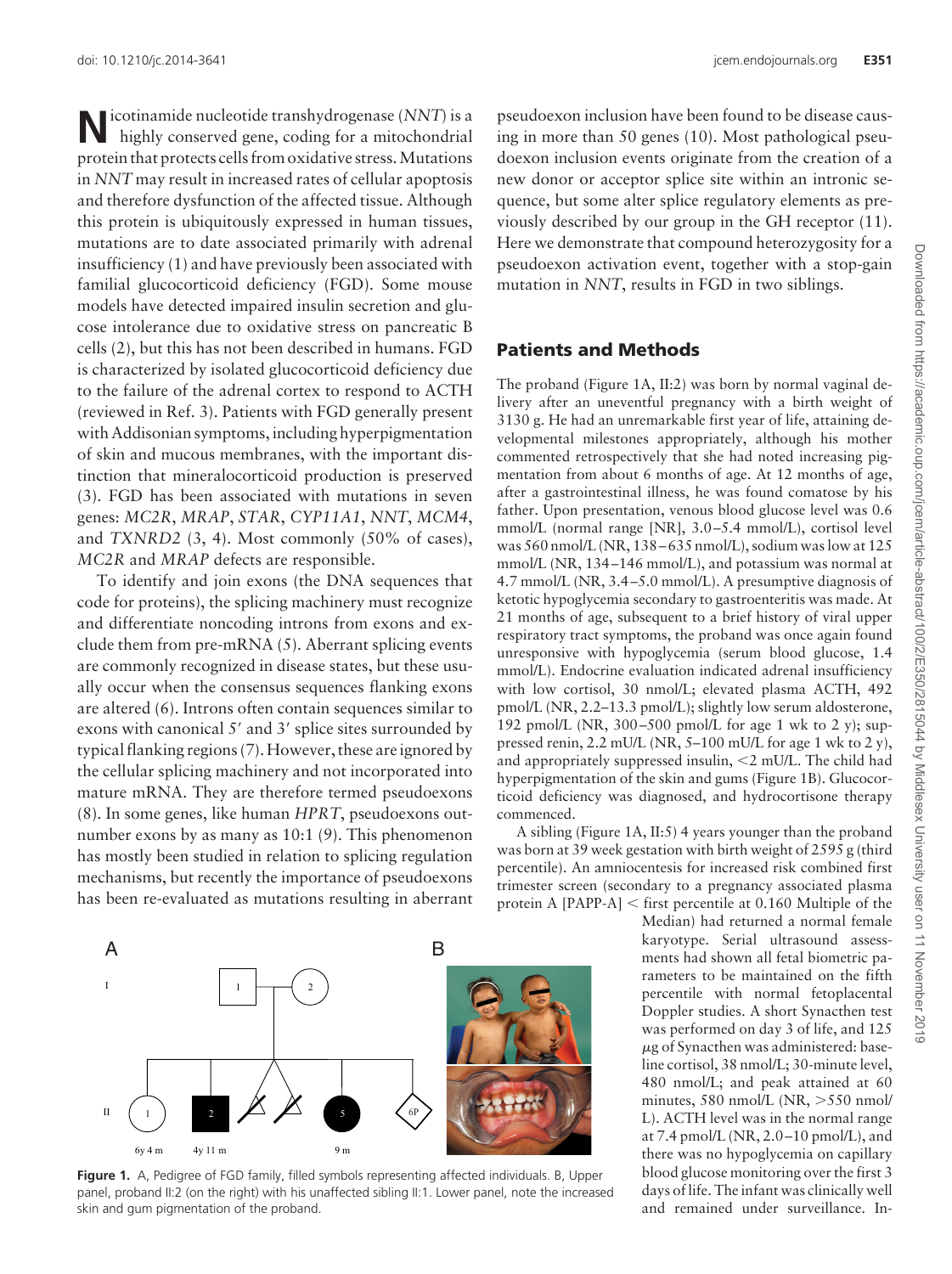**N**icotinamide nucleotide transhydrogenase (*NNT*) is a highly conserved gene, coding for a mitochondrial protein that protects cells from oxidative stress.Mutations in *NNT* may result in increased rates of cellular apoptosis and therefore dysfunction of the affected tissue. Although this protein is ubiquitously expressed in human tissues, mutations are to date associated primarily with adrenal insufficiency (1) and have previously been associated with familial glucocorticoid deficiency (FGD). Some mouse models have detected impaired insulin secretion and glucose intolerance due to oxidative stress on pancreatic B cells (2), but this has not been described in humans. FGD is characterized by isolated glucocorticoid deficiency due to the failure of the adrenal cortex to respond to ACTH (reviewed in Ref. 3). Patients with FGD generally present with Addisonian symptoms, including hyperpigmentation of skin and mucous membranes, with the important distinction that mineralocorticoid production is preserved (3). FGD has been associated with mutations in seven genes: *MC2R*, *MRAP*, *STAR*, *CYP11A1*, *NNT*, *MCM4*, and *TXNRD2* (3, 4). Most commonly (50% of cases), *MC2R* and *MRAP* defects are responsible.

To identify and join exons (the DNA sequences that code for proteins), the splicing machinery must recognize and differentiate noncoding introns from exons and exclude them from pre-mRNA (5). Aberrant splicing events are commonly recognized in disease states, but these usually occur when the consensus sequences flanking exons are altered (6). Introns often contain sequences similar to exons with canonical 5' and 3' splice sites surrounded by typical flanking regions (7). However, these are ignored by the cellular splicing machinery and not incorporated into mature mRNA. They are therefore termed pseudoexons (8). In some genes, like human *HPRT*, pseudoexons outnumber exons by as many as 10:1 (9). This phenomenon has mostly been studied in relation to splicing regulation mechanisms, but recently the importance of pseudoexons has been re-evaluated as mutations resulting in aberrant



### **Patients and Methods**

The proband (Figure 1A, II:2) was born by normal vaginal delivery after an uneventful pregnancy with a birth weight of 3130 g. He had an unremarkable first year of life, attaining developmental milestones appropriately, although his mother commented retrospectively that she had noted increasing pigmentation from about 6 months of age. At 12 months of age, after a gastrointestinal illness, he was found comatose by his father. Upon presentation, venous blood glucose level was 0.6 mmol/L (normal range [NR], 3.0 –5.4 mmol/L), cortisol level was 560 nmol/L (NR, 138 – 635 nmol/L), sodium was low at 125 mmol/L (NR, 134 –146 mmol/L), and potassium was normal at 4.7 mmol/L (NR, 3.4 –5.0 mmol/L). A presumptive diagnosis of ketotic hypoglycemia secondary to gastroenteritis was made. At 21 months of age, subsequent to a brief history of viral upper respiratory tract symptoms, the proband was once again found unresponsive with hypoglycemia (serum blood glucose, 1.4 mmol/L). Endocrine evaluation indicated adrenal insufficiency with low cortisol, 30 nmol/L; elevated plasma ACTH, 492 pmol/L (NR, 2.2–13.3 pmol/L); slightly low serum aldosterone, 192 pmol/L (NR,  $300-500$  pmol/L for age 1 wk to 2 y); suppressed renin, 2.2 mU/L (NR, 5–100 mU/L for age 1 wk to 2 y), and appropriately suppressed insulin,  $\leq 2$  mU/L. The child had hyperpigmentation of the skin and gums (Figure 1B). Glucocorticoid deficiency was diagnosed, and hydrocortisone therapy commenced.

A sibling (Figure 1A, II:5) 4 years younger than the proband was born at 39 week gestation with birth weight of 2595 g (third percentile). An amniocentesis for increased risk combined first trimester screen (secondary to a pregnancy associated plasma protein A [PAPP-A]  $<$  first percentile at 0.160 Multiple of the

> Median) had returned a normal female karyotype. Serial ultrasound assessments had shown all fetal biometric parameters to be maintained on the fifth percentile with normal fetoplacental Doppler studies. A short Synacthen test was performed on day 3 of life, and 125 -g of Synacthen was administered: baseline cortisol, 38 nmol/L; 30-minute level, 480 nmol/L; and peak attained at 60 minutes, 580 nmol/L (NR,  $>550$  nmol/ L). ACTH level was in the normal range at 7.4 pmol/L (NR, 2.0 –10 pmol/L), and there was no hypoglycemia on capillary blood glucose monitoring over the first 3 days of life. The infant was clinically well and remained under surveillance. In-



**Figure 1.** A, Pedigree of FGD family, filled symbols representing affected individuals. B, Upper panel, proband II:2 (on the right) with his unaffected sibling II:1. Lower panel, note the increased skin and gum pigmentation of the proband.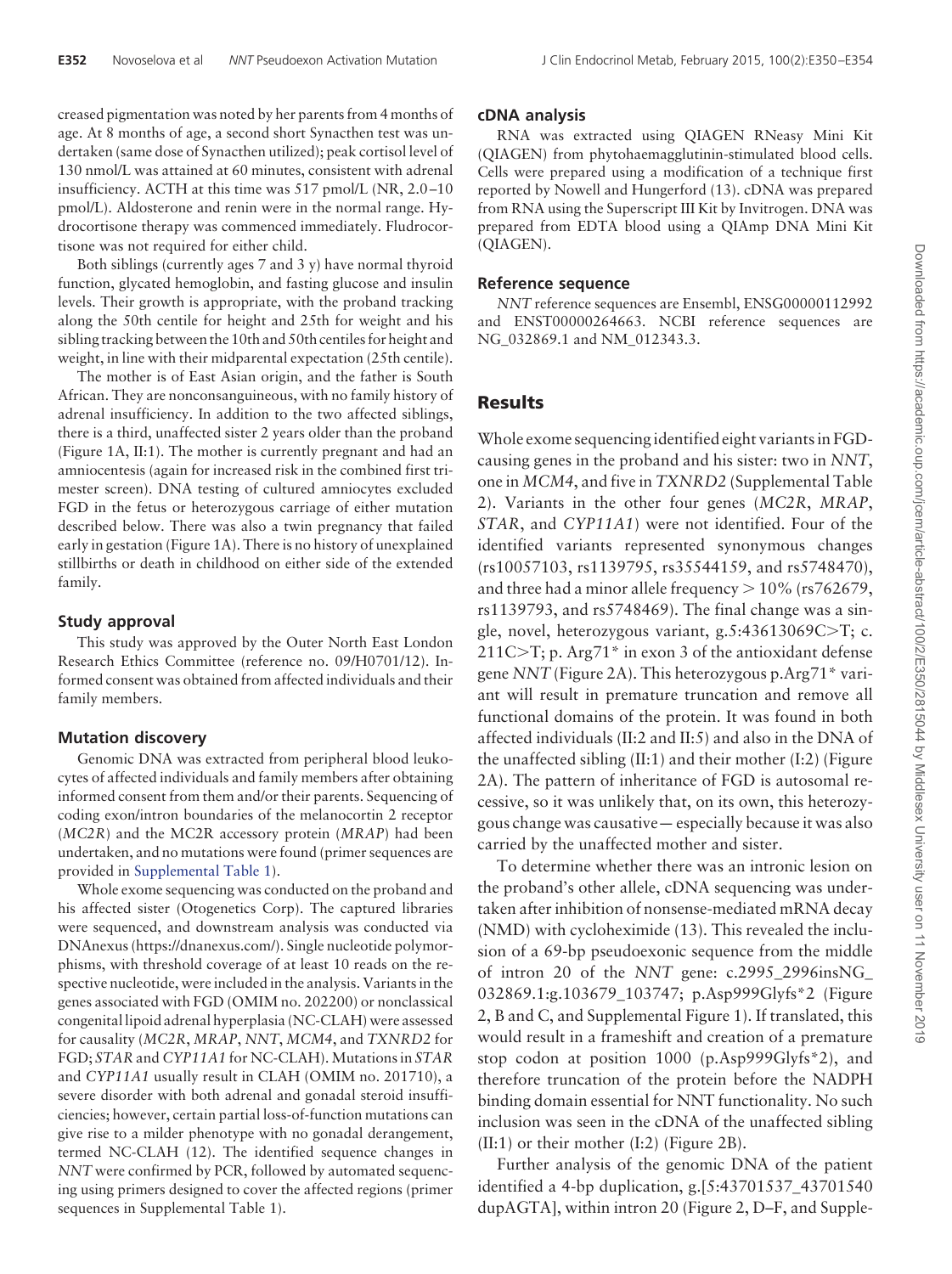creased pigmentation was noted by her parents from 4 months of age. At 8 months of age, a second short Synacthen test was undertaken (same dose of Synacthen utilized); peak cortisol level of 130 nmol/L was attained at 60 minutes, consistent with adrenal insufficiency. ACTH at this time was 517 pmol/L (NR, 2.0 –10 pmol/L). Aldosterone and renin were in the normal range. Hydrocortisone therapy was commenced immediately. Fludrocortisone was not required for either child.

Both siblings (currently ages 7 and 3 y) have normal thyroid function, glycated hemoglobin, and fasting glucose and insulin levels. Their growth is appropriate, with the proband tracking along the 50th centile for height and 25th for weight and his sibling tracking between the 10th and 50th centiles for height and weight, in line with their midparental expectation (25th centile).

The mother is of East Asian origin, and the father is South African. They are nonconsanguineous, with no family history of adrenal insufficiency. In addition to the two affected siblings, there is a third, unaffected sister 2 years older than the proband (Figure 1A, II:1). The mother is currently pregnant and had an amniocentesis (again for increased risk in the combined first trimester screen). DNA testing of cultured amniocytes excluded FGD in the fetus or heterozygous carriage of either mutation described below. There was also a twin pregnancy that failed early in gestation (Figure 1A). There is no history of unexplained stillbirths or death in childhood on either side of the extended family.

### **Study approval**

This study was approved by the Outer North East London Research Ethics Committee (reference no. 09/H0701/12). Informed consent was obtained from affected individuals and their family members.

#### **Mutation discovery**

Genomic DNA was extracted from peripheral blood leukocytes of affected individuals and family members after obtaining informed consent from them and/or their parents. Sequencing of coding exon/intron boundaries of the melanocortin 2 receptor (*MC2R*) and the MC2R accessory protein (*MRAP*) had been undertaken, and no mutations were found (primer sequences are provided in [Supplemental Table 1\)](http://press.endocrine.org/doi/suppl/10.1210/jc.2014-3641/suppl_file/jc-14-3641.pdf).

Whole exome sequencing was conducted on the proband and his affected sister (Otogenetics Corp). The captured libraries were sequenced, and downstream analysis was conducted via DNAnexus (https://dnanexus.com/). Single nucleotide polymorphisms, with threshold coverage of at least 10 reads on the respective nucleotide, were included in the analysis. Variants in the genes associated with FGD (OMIM no. 202200) or nonclassical congenital lipoid adrenal hyperplasia (NC-CLAH) were assessed for causality (*MC2R*, *MRAP*, *NNT*, *MCM4*, and *TXNRD2* for FGD; *STAR* and *CYP11A1* for NC-CLAH). Mutations in *STAR* and *CYP11A1* usually result in CLAH (OMIM no. 201710), a severe disorder with both adrenal and gonadal steroid insufficiencies; however, certain partial loss-of-function mutations can give rise to a milder phenotype with no gonadal derangement, termed NC-CLAH (12). The identified sequence changes in *NNT* were confirmed by PCR, followed by automated sequencing using primers designed to cover the affected regions (primer sequences in Supplemental Table 1).

#### **cDNA analysis**

RNA was extracted using QIAGEN RNeasy Mini Kit (QIAGEN) from phytohaemagglutinin-stimulated blood cells. Cells were prepared using a modification of a technique first reported by Nowell and Hungerford (13). cDNA was prepared from RNA using the Superscript III Kit by Invitrogen. DNA was prepared from EDTA blood using a QIAmp DNA Mini Kit (QIAGEN).

#### **Reference sequence**

*NNT* reference sequences are Ensembl, ENSG00000112992 and ENST00000264663. NCBI reference sequences are NG\_032869.1 and NM\_012343.3.

### **Results**

Whole exome sequencing identified eight variants in FGDcausing genes in the proband and his sister: two in *NNT*, one in *MCM4*, and five in *TXNRD2* (Supplemental Table 2). Variants in the other four genes (*MC2R*, *MRAP*, *STAR*, and *CYP11A1*) were not identified. Four of the identified variants represented synonymous changes (rs10057103, rs1139795, rs35544159, and rs5748470), and three had a minor allele frequency  $> 10\%$  (rs762679, rs1139793, and rs5748469). The final change was a single, novel, heterozygous variant, g.5:43613069C $\geq$ T; c.  $211C>T$ ; p. Arg71\* in exon 3 of the antioxidant defense gene *NNT* (Figure 2A). This heterozygous p.Arg71\* variant will result in premature truncation and remove all functional domains of the protein. It was found in both affected individuals (II:2 and II:5) and also in the DNA of the unaffected sibling (II:1) and their mother (I:2) (Figure 2A). The pattern of inheritance of FGD is autosomal recessive, so it was unlikely that, on its own, this heterozygous change was causative— especially because it was also carried by the unaffected mother and sister.

To determine whether there was an intronic lesion on the proband's other allele, cDNA sequencing was undertaken after inhibition of nonsense-mediated mRNA decay (NMD) with cycloheximide (13). This revealed the inclusion of a 69-bp pseudoexonic sequence from the middle of intron 20 of the *NNT* gene: c.2995\_2996insNG\_ 032869.1:g.103679\_103747; p.Asp999Glyfs\*2 (Figure 2, B and C, and Supplemental Figure 1). If translated, this would result in a frameshift and creation of a premature stop codon at position 1000 (p.Asp999Glyfs\*2), and therefore truncation of the protein before the NADPH binding domain essential for NNT functionality. No such inclusion was seen in the cDNA of the unaffected sibling (II:1) or their mother (I:2) (Figure 2B).

Further analysis of the genomic DNA of the patient identified a 4-bp duplication, g.[5:43701537\_43701540 dupAGTA], within intron 20 (Figure 2, D–F, and Supple-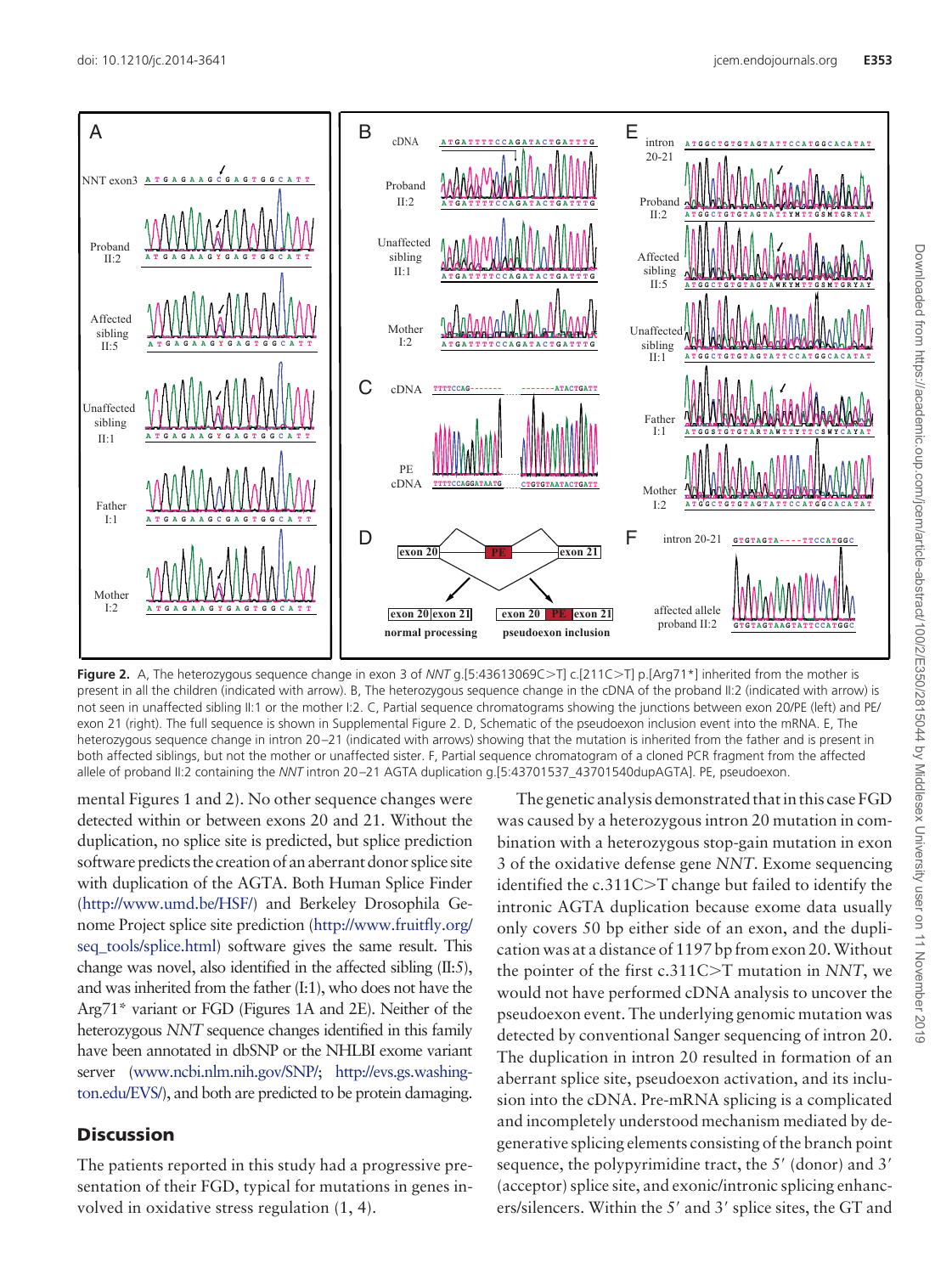

**Figure 2.** A, The heterozygous sequence change in exon 3 of *NNT* g.[5:43613069C>T] c.[211C>T] p.[Arg71\*] inherited from the mother is present in all the children (indicated with arrow). B, The heterozygous sequence change in the cDNA of the proband II:2 (indicated with arrow) is not seen in unaffected sibling II:1 or the mother I:2. C, Partial sequence chromatograms showing the junctions between exon 20/PE (left) and PE/ exon 21 (right). The full sequence is shown in Supplemental Figure 2. D, Schematic of the pseudoexon inclusion event into the mRNA. E, The heterozygous sequence change in intron 20-21 (indicated with arrows) showing that the mutation is inherited from the father and is present in both affected siblings, but not the mother or unaffected sister. F, Partial sequence chromatogram of a cloned PCR fragment from the affected allele of proband II:2 containing the *NNT* intron 20 –21 AGTA duplication g.[5:43701537\_43701540dupAGTA]. PE, pseudoexon.

mental Figures 1 and 2). No other sequence changes were detected within or between exons 20 and 21. Without the duplication, no splice site is predicted, but splice prediction software predicts the creation of an aberrant donor splice site with duplication of the AGTA. Both Human Splice Finder [\(http://www.umd.be/HSF/\)](http://www.umd.be/HSF/) and Berkeley Drosophila Genome Project splice site prediction [\(http://www.fruitfly.org/](http://www.fruitfly.org/seq_tools/splice.html) seq tools/splice.html) software gives the same result. This change was novel, also identified in the affected sibling (II:5), and was inherited from the father (I:1), who does not have the Arg71\* variant or FGD (Figures 1A and 2E). Neither of the heterozygous *NNT* sequence changes identified in this family have been annotated in dbSNP or the NHLBI exome variant server [\(www.ncbi.nlm.nih.gov/SNP/;](http://www.ncbi.nlm.nih.gov/SNP/) [http://evs.gs.washing](http://evs.gs.washington.edu/EVS/)[ton.edu/EVS/\)](http://evs.gs.washington.edu/EVS/), and both are predicted to be protein damaging.

### **Discussion**

The patients reported in this study had a progressive presentation of their FGD, typical for mutations in genes involved in oxidative stress regulation (1, 4).

The genetic analysis demonstrated that in this case FGD was caused by a heterozygous intron 20 mutation in combination with a heterozygous stop-gain mutation in exon 3 of the oxidative defense gene *NNT*. Exome sequencing identified the  $c.311C > T$  change but failed to identify the intronic AGTA duplication because exome data usually only covers 50 bp either side of an exon, and the duplication was at a distance of 1197 bp from exon 20.Without the pointer of the first c.311C>T mutation in *NNT*, we would not have performed cDNA analysis to uncover the pseudoexon event. The underlying genomic mutation was detected by conventional Sanger sequencing of intron 20. The duplication in intron 20 resulted in formation of an aberrant splice site, pseudoexon activation, and its inclusion into the cDNA. Pre-mRNA splicing is a complicated and incompletely understood mechanism mediated by degenerative splicing elements consisting of the branch point sequence, the polypyrimidine tract, the 5' (donor) and 3' (acceptor) splice site, and exonic/intronic splicing enhancers/silencers. Within the 5' and 3' splice sites, the GT and